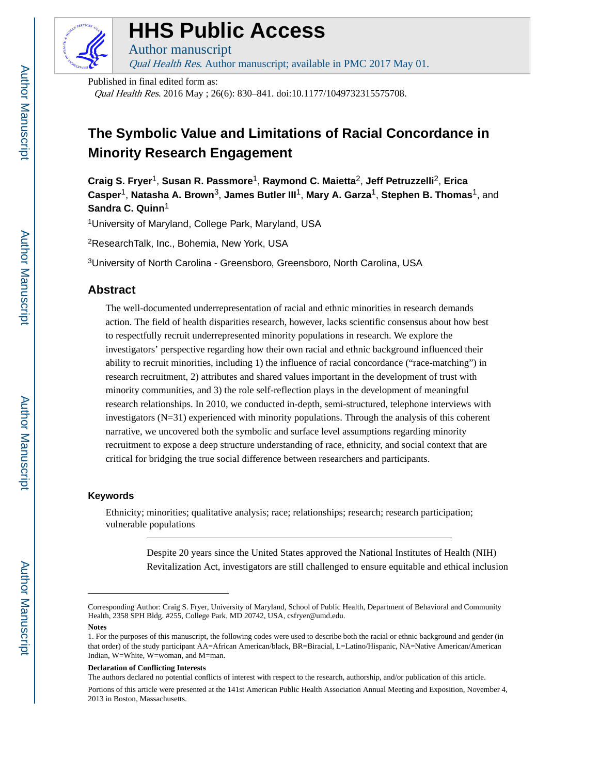

# **HHS Public Access**

Author manuscript Qual Health Res. Author manuscript; available in PMC 2017 May 01.

Published in final edited form as:

Qual Health Res. 2016 May ; 26(6): 830–841. doi:10.1177/1049732315575708.

## **The Symbolic Value and Limitations of Racial Concordance in Minority Research Engagement**

**Craig S. Fryer**1, **Susan R. Passmore**1, **Raymond C. Maietta**2, **Jeff Petruzzelli**2, **Erica Casper**1, **Natasha A. Brown**3, **James Butler III**1, **Mary A. Garza**1, **Stephen B. Thomas**1, and **Sandra C. Quinn**<sup>1</sup>

<sup>1</sup>University of Maryland, College Park, Maryland, USA

<sup>2</sup>ResearchTalk, Inc., Bohemia, New York, USA

<sup>3</sup>University of North Carolina - Greensboro, Greensboro, North Carolina, USA

## **Abstract**

The well-documented underrepresentation of racial and ethnic minorities in research demands action. The field of health disparities research, however, lacks scientific consensus about how best to respectfully recruit underrepresented minority populations in research. We explore the investigators' perspective regarding how their own racial and ethnic background influenced their ability to recruit minorities, including 1) the influence of racial concordance ("race-matching") in research recruitment, 2) attributes and shared values important in the development of trust with minority communities, and 3) the role self-reflection plays in the development of meaningful research relationships. In 2010, we conducted in-depth, semi-structured, telephone interviews with investigators (N=31) experienced with minority populations. Through the analysis of this coherent narrative, we uncovered both the symbolic and surface level assumptions regarding minority recruitment to expose a deep structure understanding of race, ethnicity, and social context that are critical for bridging the true social difference between researchers and participants.

### **Keywords**

Ethnicity; minorities; qualitative analysis; race; relationships; research; research participation; vulnerable populations

> Despite 20 years since the United States approved the National Institutes of Health (NIH) Revitalization Act, investigators are still challenged to ensure equitable and ethical inclusion

#### **Declaration of Conflicting Interests**

Corresponding Author: Craig S. Fryer, University of Maryland, School of Public Health, Department of Behavioral and Community Health, 2358 SPH Bldg. #255, College Park, MD 20742, USA, csfryer@umd.edu.

**Notes**

<sup>1.</sup> For the purposes of this manuscript, the following codes were used to describe both the racial or ethnic background and gender (in that order) of the study participant AA=African American/black, BR=Biracial, L=Latino/Hispanic, NA=Native American/American Indian, W=White, W=woman, and M=man.

The authors declared no potential conflicts of interest with respect to the research, authorship, and/or publication of this article. Portions of this article were presented at the 141st American Public Health Association Annual Meeting and Exposition, November 4, 2013 in Boston, Massachusetts.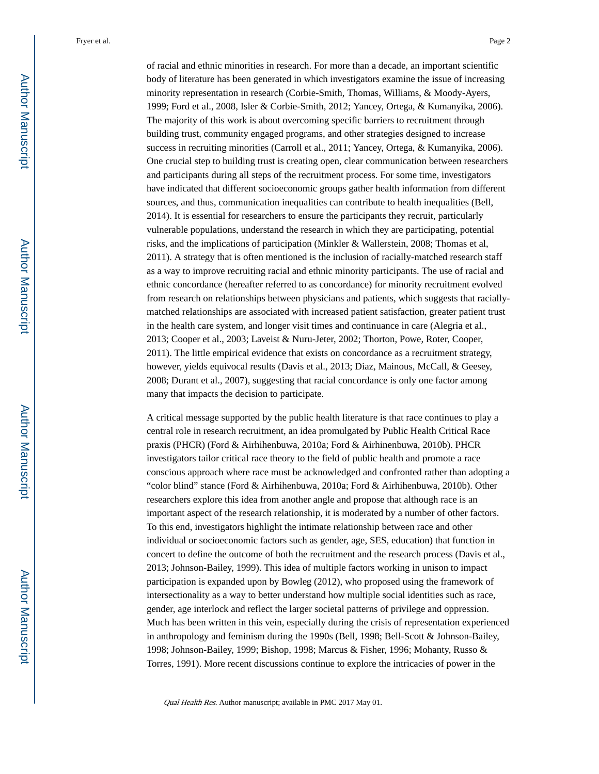of racial and ethnic minorities in research. For more than a decade, an important scientific body of literature has been generated in which investigators examine the issue of increasing minority representation in research (Corbie-Smith, Thomas, Williams, & Moody-Ayers, 1999; Ford et al., 2008, Isler & Corbie-Smith, 2012; Yancey, Ortega, & Kumanyika, 2006). The majority of this work is about overcoming specific barriers to recruitment through building trust, community engaged programs, and other strategies designed to increase success in recruiting minorities (Carroll et al., 2011; Yancey, Ortega, & Kumanyika, 2006). One crucial step to building trust is creating open, clear communication between researchers and participants during all steps of the recruitment process. For some time, investigators have indicated that different socioeconomic groups gather health information from different sources, and thus, communication inequalities can contribute to health inequalities (Bell, 2014). It is essential for researchers to ensure the participants they recruit, particularly vulnerable populations, understand the research in which they are participating, potential risks, and the implications of participation (Minkler & Wallerstein, 2008; Thomas et al, 2011). A strategy that is often mentioned is the inclusion of racially-matched research staff as a way to improve recruiting racial and ethnic minority participants. The use of racial and ethnic concordance (hereafter referred to as concordance) for minority recruitment evolved from research on relationships between physicians and patients, which suggests that raciallymatched relationships are associated with increased patient satisfaction, greater patient trust in the health care system, and longer visit times and continuance in care (Alegria et al., 2013; Cooper et al., 2003; Laveist & Nuru-Jeter, 2002; Thorton, Powe, Roter, Cooper, 2011). The little empirical evidence that exists on concordance as a recruitment strategy, however, yields equivocal results (Davis et al., 2013; Diaz, Mainous, McCall, & Geesey, 2008; Durant et al., 2007), suggesting that racial concordance is only one factor among many that impacts the decision to participate.

A critical message supported by the public health literature is that race continues to play a central role in research recruitment, an idea promulgated by Public Health Critical Race praxis (PHCR) (Ford & Airhihenbuwa, 2010a; Ford & Airhinenbuwa, 2010b). PHCR investigators tailor critical race theory to the field of public health and promote a race conscious approach where race must be acknowledged and confronted rather than adopting a "color blind" stance (Ford & Airhihenbuwa, 2010a; Ford & Airhihenbuwa, 2010b). Other researchers explore this idea from another angle and propose that although race is an important aspect of the research relationship, it is moderated by a number of other factors. To this end, investigators highlight the intimate relationship between race and other individual or socioeconomic factors such as gender, age, SES, education) that function in concert to define the outcome of both the recruitment and the research process (Davis et al., 2013; Johnson-Bailey, 1999). This idea of multiple factors working in unison to impact participation is expanded upon by Bowleg (2012), who proposed using the framework of intersectionality as a way to better understand how multiple social identities such as race, gender, age interlock and reflect the larger societal patterns of privilege and oppression. Much has been written in this vein, especially during the crisis of representation experienced in anthropology and feminism during the 1990s (Bell, 1998; Bell-Scott & Johnson-Bailey, 1998; Johnson-Bailey, 1999; Bishop, 1998; Marcus & Fisher, 1996; Mohanty, Russo & Torres, 1991). More recent discussions continue to explore the intricacies of power in the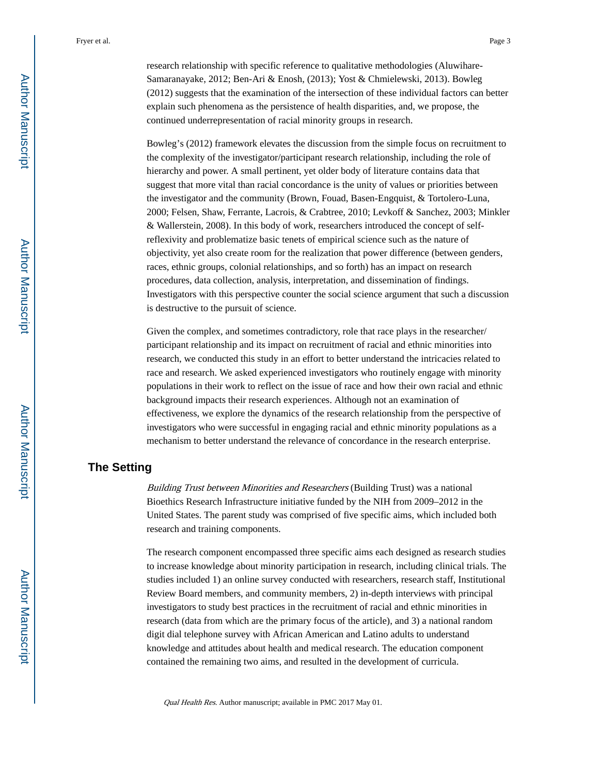research relationship with specific reference to qualitative methodologies (Aluwihare-Samaranayake, 2012; Ben-Ari & Enosh, (2013); Yost & Chmielewski, 2013). Bowleg (2012) suggests that the examination of the intersection of these individual factors can better explain such phenomena as the persistence of health disparities, and, we propose, the continued underrepresentation of racial minority groups in research.

Bowleg's (2012) framework elevates the discussion from the simple focus on recruitment to the complexity of the investigator/participant research relationship, including the role of hierarchy and power. A small pertinent, yet older body of literature contains data that suggest that more vital than racial concordance is the unity of values or priorities between the investigator and the community (Brown, Fouad, Basen-Engquist, & Tortolero-Luna, 2000; Felsen, Shaw, Ferrante, Lacrois, & Crabtree, 2010; Levkoff & Sanchez, 2003; Minkler & Wallerstein, 2008). In this body of work, researchers introduced the concept of selfreflexivity and problematize basic tenets of empirical science such as the nature of objectivity, yet also create room for the realization that power difference (between genders, races, ethnic groups, colonial relationships, and so forth) has an impact on research procedures, data collection, analysis, interpretation, and dissemination of findings. Investigators with this perspective counter the social science argument that such a discussion is destructive to the pursuit of science.

Given the complex, and sometimes contradictory, role that race plays in the researcher/ participant relationship and its impact on recruitment of racial and ethnic minorities into research, we conducted this study in an effort to better understand the intricacies related to race and research. We asked experienced investigators who routinely engage with minority populations in their work to reflect on the issue of race and how their own racial and ethnic background impacts their research experiences. Although not an examination of effectiveness, we explore the dynamics of the research relationship from the perspective of investigators who were successful in engaging racial and ethnic minority populations as a mechanism to better understand the relevance of concordance in the research enterprise.

## **The Setting**

Building Trust between Minorities and Researchers (Building Trust) was a national Bioethics Research Infrastructure initiative funded by the NIH from 2009–2012 in the United States. The parent study was comprised of five specific aims, which included both research and training components.

The research component encompassed three specific aims each designed as research studies to increase knowledge about minority participation in research, including clinical trials. The studies included 1) an online survey conducted with researchers, research staff, Institutional Review Board members, and community members, 2) in-depth interviews with principal investigators to study best practices in the recruitment of racial and ethnic minorities in research (data from which are the primary focus of the article), and 3) a national random digit dial telephone survey with African American and Latino adults to understand knowledge and attitudes about health and medical research. The education component contained the remaining two aims, and resulted in the development of curricula.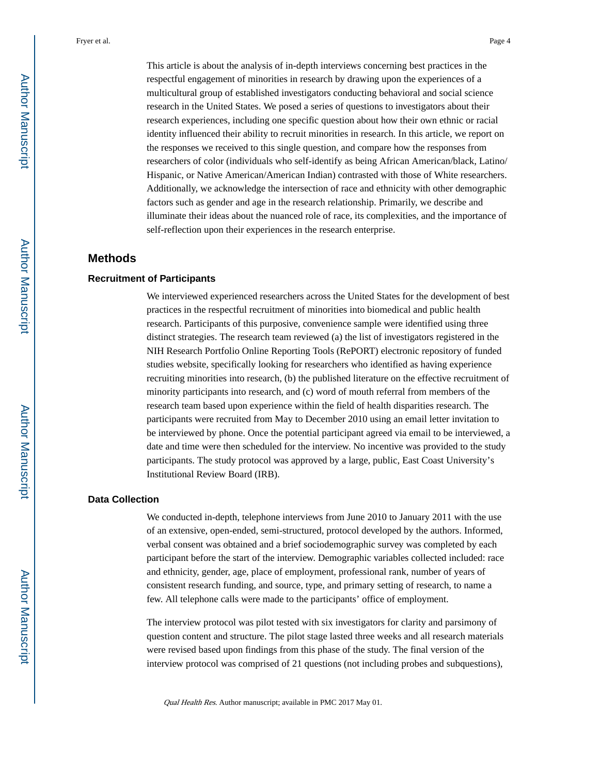This article is about the analysis of in-depth interviews concerning best practices in the respectful engagement of minorities in research by drawing upon the experiences of a multicultural group of established investigators conducting behavioral and social science research in the United States. We posed a series of questions to investigators about their research experiences, including one specific question about how their own ethnic or racial identity influenced their ability to recruit minorities in research. In this article, we report on the responses we received to this single question, and compare how the responses from researchers of color (individuals who self-identify as being African American/black, Latino/ Hispanic, or Native American/American Indian) contrasted with those of White researchers. Additionally, we acknowledge the intersection of race and ethnicity with other demographic factors such as gender and age in the research relationship. Primarily, we describe and illuminate their ideas about the nuanced role of race, its complexities, and the importance of self-reflection upon their experiences in the research enterprise.

## **Methods**

#### **Recruitment of Participants**

We interviewed experienced researchers across the United States for the development of best practices in the respectful recruitment of minorities into biomedical and public health research. Participants of this purposive, convenience sample were identified using three distinct strategies. The research team reviewed (a) the list of investigators registered in the NIH Research Portfolio Online Reporting Tools (RePORT) electronic repository of funded studies website, specifically looking for researchers who identified as having experience recruiting minorities into research, (b) the published literature on the effective recruitment of minority participants into research, and (c) word of mouth referral from members of the research team based upon experience within the field of health disparities research. The participants were recruited from May to December 2010 using an email letter invitation to be interviewed by phone. Once the potential participant agreed via email to be interviewed, a date and time were then scheduled for the interview. No incentive was provided to the study participants. The study protocol was approved by a large, public, East Coast University's Institutional Review Board (IRB).

## **Data Collection**

We conducted in-depth, telephone interviews from June 2010 to January 2011 with the use of an extensive, open-ended, semi-structured, protocol developed by the authors. Informed, verbal consent was obtained and a brief sociodemographic survey was completed by each participant before the start of the interview. Demographic variables collected included: race and ethnicity, gender, age, place of employment, professional rank, number of years of consistent research funding, and source, type, and primary setting of research, to name a few. All telephone calls were made to the participants' office of employment.

The interview protocol was pilot tested with six investigators for clarity and parsimony of question content and structure. The pilot stage lasted three weeks and all research materials were revised based upon findings from this phase of the study. The final version of the interview protocol was comprised of 21 questions (not including probes and subquestions),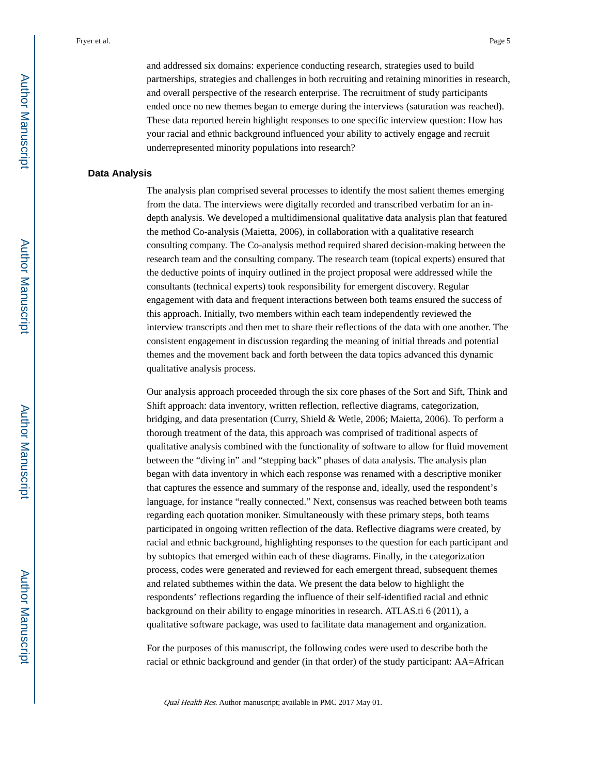and addressed six domains: experience conducting research, strategies used to build partnerships, strategies and challenges in both recruiting and retaining minorities in research, and overall perspective of the research enterprise. The recruitment of study participants ended once no new themes began to emerge during the interviews (saturation was reached). These data reported herein highlight responses to one specific interview question: How has your racial and ethnic background influenced your ability to actively engage and recruit underrepresented minority populations into research?

#### **Data Analysis**

The analysis plan comprised several processes to identify the most salient themes emerging from the data. The interviews were digitally recorded and transcribed verbatim for an indepth analysis. We developed a multidimensional qualitative data analysis plan that featured the method Co-analysis (Maietta, 2006), in collaboration with a qualitative research consulting company. The Co-analysis method required shared decision-making between the research team and the consulting company. The research team (topical experts) ensured that the deductive points of inquiry outlined in the project proposal were addressed while the consultants (technical experts) took responsibility for emergent discovery. Regular engagement with data and frequent interactions between both teams ensured the success of this approach. Initially, two members within each team independently reviewed the interview transcripts and then met to share their reflections of the data with one another. The consistent engagement in discussion regarding the meaning of initial threads and potential themes and the movement back and forth between the data topics advanced this dynamic qualitative analysis process.

Our analysis approach proceeded through the six core phases of the Sort and Sift, Think and Shift approach: data inventory, written reflection, reflective diagrams, categorization, bridging, and data presentation (Curry, Shield & Wetle, 2006; Maietta, 2006). To perform a thorough treatment of the data, this approach was comprised of traditional aspects of qualitative analysis combined with the functionality of software to allow for fluid movement between the "diving in" and "stepping back" phases of data analysis. The analysis plan began with data inventory in which each response was renamed with a descriptive moniker that captures the essence and summary of the response and, ideally, used the respondent's language, for instance "really connected." Next, consensus was reached between both teams regarding each quotation moniker. Simultaneously with these primary steps, both teams participated in ongoing written reflection of the data. Reflective diagrams were created, by racial and ethnic background, highlighting responses to the question for each participant and by subtopics that emerged within each of these diagrams. Finally, in the categorization process, codes were generated and reviewed for each emergent thread, subsequent themes and related subthemes within the data. We present the data below to highlight the respondents' reflections regarding the influence of their self-identified racial and ethnic background on their ability to engage minorities in research. ATLAS.ti 6 (2011), a qualitative software package, was used to facilitate data management and organization.

For the purposes of this manuscript, the following codes were used to describe both the racial or ethnic background and gender (in that order) of the study participant: AA=African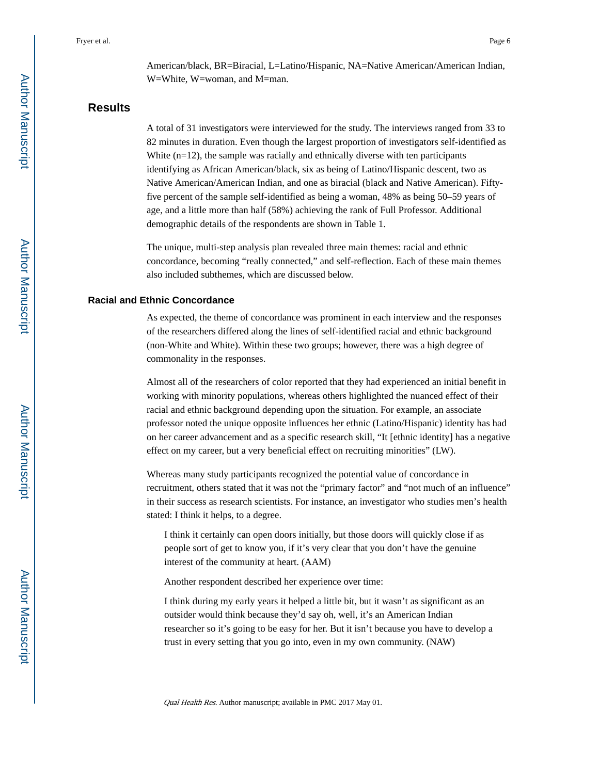American/black, BR=Biracial, L=Latino/Hispanic, NA=Native American/American Indian, W=White, W=woman, and M=man.

## **Results**

A total of 31 investigators were interviewed for the study. The interviews ranged from 33 to 82 minutes in duration. Even though the largest proportion of investigators self-identified as White (n=12), the sample was racially and ethnically diverse with ten participants identifying as African American/black, six as being of Latino/Hispanic descent, two as Native American/American Indian, and one as biracial (black and Native American). Fiftyfive percent of the sample self-identified as being a woman, 48% as being 50–59 years of age, and a little more than half (58%) achieving the rank of Full Professor. Additional demographic details of the respondents are shown in Table 1.

The unique, multi-step analysis plan revealed three main themes: racial and ethnic concordance, becoming "really connected," and self-reflection. Each of these main themes also included subthemes, which are discussed below.

#### **Racial and Ethnic Concordance**

As expected, the theme of concordance was prominent in each interview and the responses of the researchers differed along the lines of self-identified racial and ethnic background (non-White and White). Within these two groups; however, there was a high degree of commonality in the responses.

Almost all of the researchers of color reported that they had experienced an initial benefit in working with minority populations, whereas others highlighted the nuanced effect of their racial and ethnic background depending upon the situation. For example, an associate professor noted the unique opposite influences her ethnic (Latino/Hispanic) identity has had on her career advancement and as a specific research skill, "It [ethnic identity] has a negative effect on my career, but a very beneficial effect on recruiting minorities" (LW).

Whereas many study participants recognized the potential value of concordance in recruitment, others stated that it was not the "primary factor" and "not much of an influence" in their success as research scientists. For instance, an investigator who studies men's health stated: I think it helps, to a degree.

I think it certainly can open doors initially, but those doors will quickly close if as people sort of get to know you, if it's very clear that you don't have the genuine interest of the community at heart. (AAM)

Another respondent described her experience over time:

I think during my early years it helped a little bit, but it wasn't as significant as an outsider would think because they'd say oh, well, it's an American Indian researcher so it's going to be easy for her. But it isn't because you have to develop a trust in every setting that you go into, even in my own community. (NAW)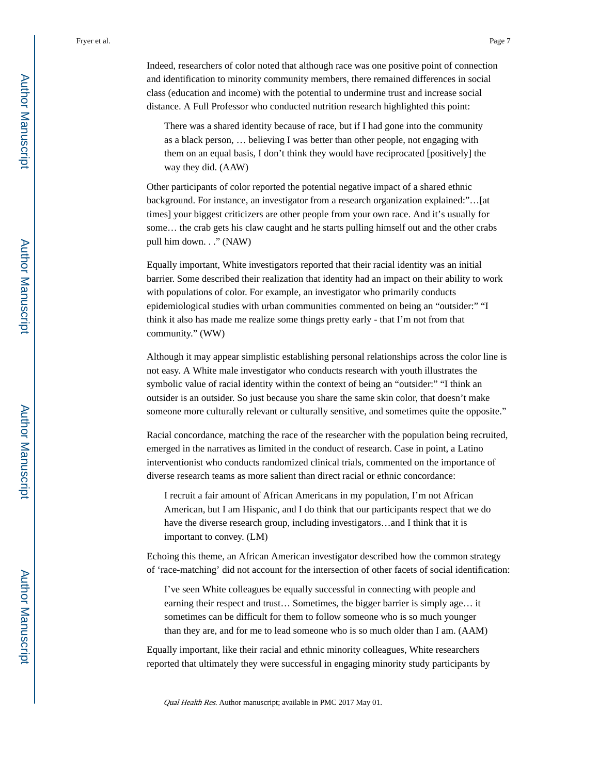Indeed, researchers of color noted that although race was one positive point of connection and identification to minority community members, there remained differences in social class (education and income) with the potential to undermine trust and increase social distance. A Full Professor who conducted nutrition research highlighted this point:

There was a shared identity because of race, but if I had gone into the community as a black person, … believing I was better than other people, not engaging with them on an equal basis, I don't think they would have reciprocated [positively] the way they did. (AAW)

Other participants of color reported the potential negative impact of a shared ethnic background. For instance, an investigator from a research organization explained:"…[at times] your biggest criticizers are other people from your own race. And it's usually for some… the crab gets his claw caught and he starts pulling himself out and the other crabs pull him down. . ." (NAW)

Equally important, White investigators reported that their racial identity was an initial barrier. Some described their realization that identity had an impact on their ability to work with populations of color. For example, an investigator who primarily conducts epidemiological studies with urban communities commented on being an "outsider:" "I think it also has made me realize some things pretty early - that I'm not from that community." (WW)

Although it may appear simplistic establishing personal relationships across the color line is not easy. A White male investigator who conducts research with youth illustrates the symbolic value of racial identity within the context of being an "outsider:" "I think an outsider is an outsider. So just because you share the same skin color, that doesn't make someone more culturally relevant or culturally sensitive, and sometimes quite the opposite."

Racial concordance, matching the race of the researcher with the population being recruited, emerged in the narratives as limited in the conduct of research. Case in point, a Latino interventionist who conducts randomized clinical trials, commented on the importance of diverse research teams as more salient than direct racial or ethnic concordance:

I recruit a fair amount of African Americans in my population, I'm not African American, but I am Hispanic, and I do think that our participants respect that we do have the diverse research group, including investigators…and I think that it is important to convey. (LM)

Echoing this theme, an African American investigator described how the common strategy of 'race-matching' did not account for the intersection of other facets of social identification:

I've seen White colleagues be equally successful in connecting with people and earning their respect and trust… Sometimes, the bigger barrier is simply age… it sometimes can be difficult for them to follow someone who is so much younger than they are, and for me to lead someone who is so much older than I am. (AAM)

Equally important, like their racial and ethnic minority colleagues, White researchers reported that ultimately they were successful in engaging minority study participants by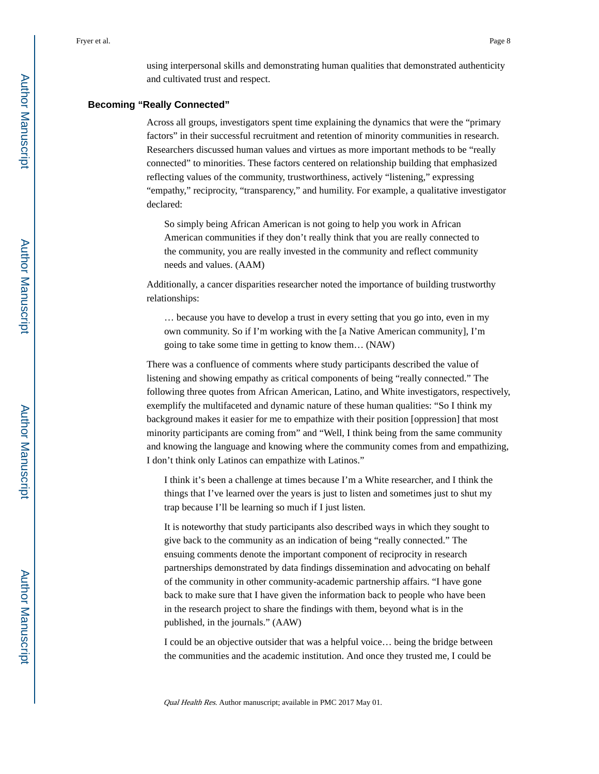#### **Becoming "Really Connected"**

Across all groups, investigators spent time explaining the dynamics that were the "primary factors" in their successful recruitment and retention of minority communities in research. Researchers discussed human values and virtues as more important methods to be "really connected" to minorities. These factors centered on relationship building that emphasized reflecting values of the community, trustworthiness, actively "listening," expressing "empathy," reciprocity, "transparency," and humility. For example, a qualitative investigator declared:

So simply being African American is not going to help you work in African American communities if they don't really think that you are really connected to the community, you are really invested in the community and reflect community needs and values. (AAM)

Additionally, a cancer disparities researcher noted the importance of building trustworthy relationships:

… because you have to develop a trust in every setting that you go into, even in my own community. So if I'm working with the [a Native American community], I'm going to take some time in getting to know them… (NAW)

There was a confluence of comments where study participants described the value of listening and showing empathy as critical components of being "really connected." The following three quotes from African American, Latino, and White investigators, respectively, exemplify the multifaceted and dynamic nature of these human qualities: "So I think my background makes it easier for me to empathize with their position [oppression] that most minority participants are coming from" and "Well, I think being from the same community and knowing the language and knowing where the community comes from and empathizing, I don't think only Latinos can empathize with Latinos."

I think it's been a challenge at times because I'm a White researcher, and I think the things that I've learned over the years is just to listen and sometimes just to shut my trap because I'll be learning so much if I just listen.

It is noteworthy that study participants also described ways in which they sought to give back to the community as an indication of being "really connected." The ensuing comments denote the important component of reciprocity in research partnerships demonstrated by data findings dissemination and advocating on behalf of the community in other community-academic partnership affairs. "I have gone back to make sure that I have given the information back to people who have been in the research project to share the findings with them, beyond what is in the published, in the journals." (AAW)

I could be an objective outsider that was a helpful voice… being the bridge between the communities and the academic institution. And once they trusted me, I could be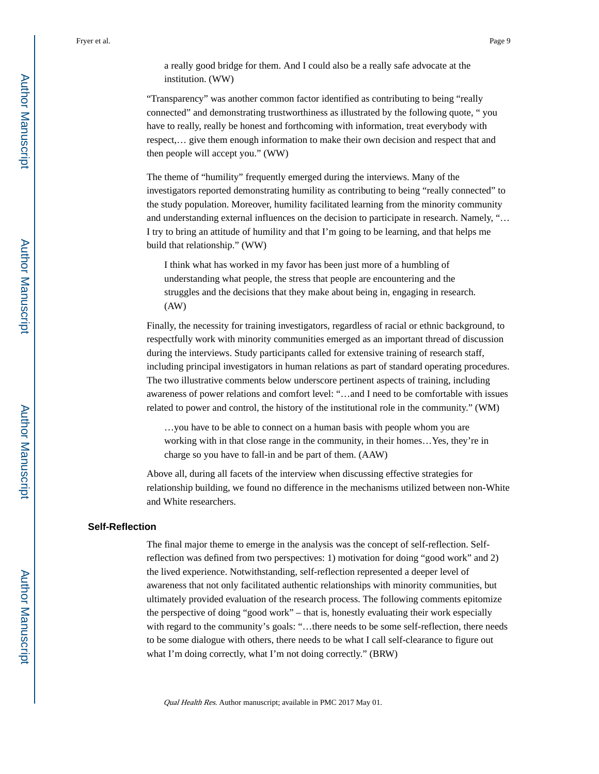a really good bridge for them. And I could also be a really safe advocate at the institution. (WW)

"Transparency" was another common factor identified as contributing to being "really connected" and demonstrating trustworthiness as illustrated by the following quote, " you have to really, really be honest and forthcoming with information, treat everybody with respect,… give them enough information to make their own decision and respect that and then people will accept you." (WW)

The theme of "humility" frequently emerged during the interviews. Many of the investigators reported demonstrating humility as contributing to being "really connected" to the study population. Moreover, humility facilitated learning from the minority community and understanding external influences on the decision to participate in research. Namely, "… I try to bring an attitude of humility and that I'm going to be learning, and that helps me build that relationship." (WW)

I think what has worked in my favor has been just more of a humbling of understanding what people, the stress that people are encountering and the struggles and the decisions that they make about being in, engaging in research. (AW)

Finally, the necessity for training investigators, regardless of racial or ethnic background, to respectfully work with minority communities emerged as an important thread of discussion during the interviews. Study participants called for extensive training of research staff, including principal investigators in human relations as part of standard operating procedures. The two illustrative comments below underscore pertinent aspects of training, including awareness of power relations and comfort level: "…and I need to be comfortable with issues related to power and control, the history of the institutional role in the community." (WM)

…you have to be able to connect on a human basis with people whom you are working with in that close range in the community, in their homes…Yes, they're in charge so you have to fall-in and be part of them. (AAW)

Above all, during all facets of the interview when discussing effective strategies for relationship building, we found no difference in the mechanisms utilized between non-White and White researchers.

#### **Self-Reflection**

The final major theme to emerge in the analysis was the concept of self-reflection. Selfreflection was defined from two perspectives: 1) motivation for doing "good work" and 2) the lived experience. Notwithstanding, self-reflection represented a deeper level of awareness that not only facilitated authentic relationships with minority communities, but ultimately provided evaluation of the research process. The following comments epitomize the perspective of doing "good work" – that is, honestly evaluating their work especially with regard to the community's goals: "…there needs to be some self-reflection, there needs to be some dialogue with others, there needs to be what I call self-clearance to figure out what I'm doing correctly, what I'm not doing correctly." (BRW)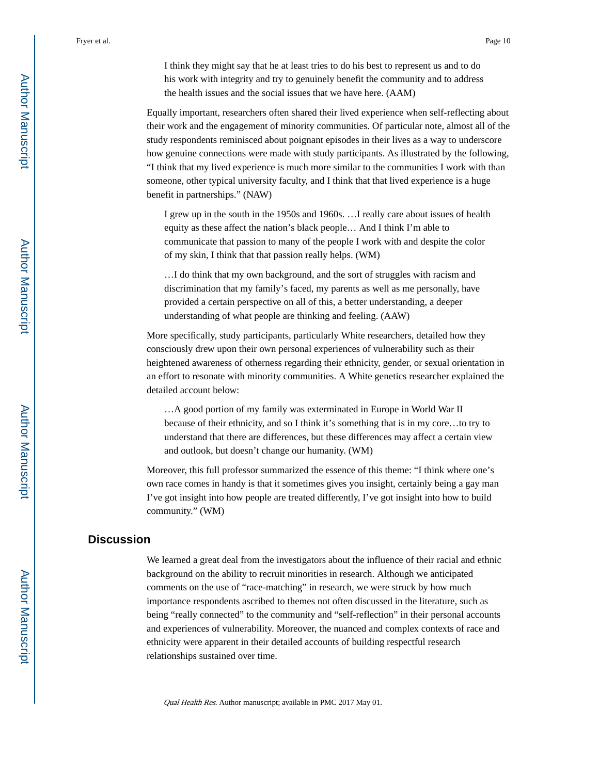I think they might say that he at least tries to do his best to represent us and to do his work with integrity and try to genuinely benefit the community and to address the health issues and the social issues that we have here. (AAM)

Equally important, researchers often shared their lived experience when self-reflecting about their work and the engagement of minority communities. Of particular note, almost all of the study respondents reminisced about poignant episodes in their lives as a way to underscore how genuine connections were made with study participants. As illustrated by the following, "I think that my lived experience is much more similar to the communities I work with than someone, other typical university faculty, and I think that that lived experience is a huge benefit in partnerships." (NAW)

I grew up in the south in the 1950s and 1960s. …I really care about issues of health equity as these affect the nation's black people… And I think I'm able to communicate that passion to many of the people I work with and despite the color of my skin, I think that that passion really helps. (WM)

…I do think that my own background, and the sort of struggles with racism and discrimination that my family's faced, my parents as well as me personally, have provided a certain perspective on all of this, a better understanding, a deeper understanding of what people are thinking and feeling. (AAW)

More specifically, study participants, particularly White researchers, detailed how they consciously drew upon their own personal experiences of vulnerability such as their heightened awareness of otherness regarding their ethnicity, gender, or sexual orientation in an effort to resonate with minority communities. A White genetics researcher explained the detailed account below:

…A good portion of my family was exterminated in Europe in World War II because of their ethnicity, and so I think it's something that is in my core…to try to understand that there are differences, but these differences may affect a certain view and outlook, but doesn't change our humanity. (WM)

Moreover, this full professor summarized the essence of this theme: "I think where one's own race comes in handy is that it sometimes gives you insight, certainly being a gay man I've got insight into how people are treated differently, I've got insight into how to build community." (WM)

## **Discussion**

We learned a great deal from the investigators about the influence of their racial and ethnic background on the ability to recruit minorities in research. Although we anticipated comments on the use of "race-matching" in research, we were struck by how much importance respondents ascribed to themes not often discussed in the literature, such as being "really connected" to the community and "self-reflection" in their personal accounts and experiences of vulnerability. Moreover, the nuanced and complex contexts of race and ethnicity were apparent in their detailed accounts of building respectful research relationships sustained over time.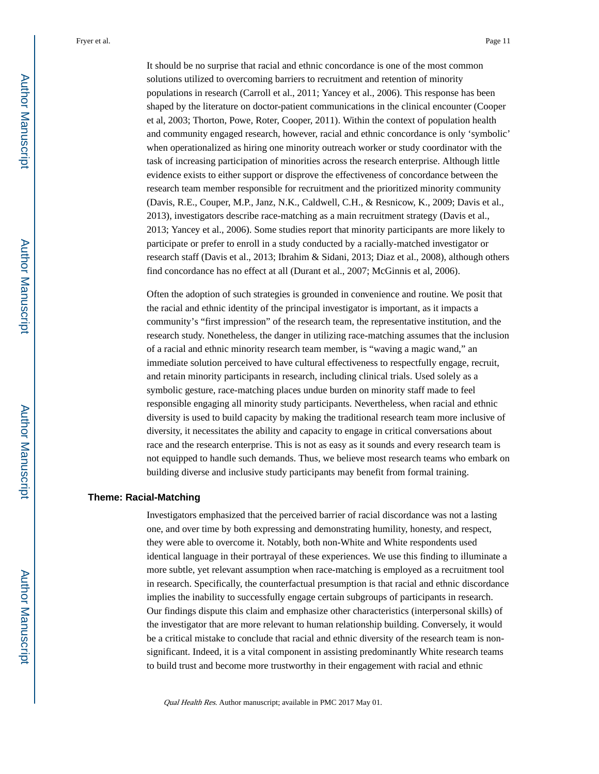It should be no surprise that racial and ethnic concordance is one of the most common solutions utilized to overcoming barriers to recruitment and retention of minority populations in research (Carroll et al., 2011; Yancey et al., 2006). This response has been shaped by the literature on doctor-patient communications in the clinical encounter (Cooper et al, 2003; Thorton, Powe, Roter, Cooper, 2011). Within the context of population health and community engaged research, however, racial and ethnic concordance is only 'symbolic' when operationalized as hiring one minority outreach worker or study coordinator with the task of increasing participation of minorities across the research enterprise. Although little evidence exists to either support or disprove the effectiveness of concordance between the research team member responsible for recruitment and the prioritized minority community (Davis, R.E., Couper, M.P., Janz, N.K., Caldwell, C.H., & Resnicow, K., 2009; Davis et al., 2013), investigators describe race-matching as a main recruitment strategy (Davis et al., 2013; Yancey et al., 2006). Some studies report that minority participants are more likely to participate or prefer to enroll in a study conducted by a racially-matched investigator or research staff (Davis et al., 2013; Ibrahim & Sidani, 2013; Diaz et al., 2008), although others find concordance has no effect at all (Durant et al., 2007; McGinnis et al, 2006).

Often the adoption of such strategies is grounded in convenience and routine. We posit that the racial and ethnic identity of the principal investigator is important, as it impacts a community's "first impression" of the research team, the representative institution, and the research study. Nonetheless, the danger in utilizing race-matching assumes that the inclusion of a racial and ethnic minority research team member, is "waving a magic wand," an immediate solution perceived to have cultural effectiveness to respectfully engage, recruit, and retain minority participants in research, including clinical trials. Used solely as a symbolic gesture, race-matching places undue burden on minority staff made to feel responsible engaging all minority study participants. Nevertheless, when racial and ethnic diversity is used to build capacity by making the traditional research team more inclusive of diversity, it necessitates the ability and capacity to engage in critical conversations about race and the research enterprise. This is not as easy as it sounds and every research team is not equipped to handle such demands. Thus, we believe most research teams who embark on building diverse and inclusive study participants may benefit from formal training.

#### **Theme: Racial-Matching**

Investigators emphasized that the perceived barrier of racial discordance was not a lasting one, and over time by both expressing and demonstrating humility, honesty, and respect, they were able to overcome it. Notably, both non-White and White respondents used identical language in their portrayal of these experiences. We use this finding to illuminate a more subtle, yet relevant assumption when race-matching is employed as a recruitment tool in research. Specifically, the counterfactual presumption is that racial and ethnic discordance implies the inability to successfully engage certain subgroups of participants in research. Our findings dispute this claim and emphasize other characteristics (interpersonal skills) of the investigator that are more relevant to human relationship building. Conversely, it would be a critical mistake to conclude that racial and ethnic diversity of the research team is nonsignificant. Indeed, it is a vital component in assisting predominantly White research teams to build trust and become more trustworthy in their engagement with racial and ethnic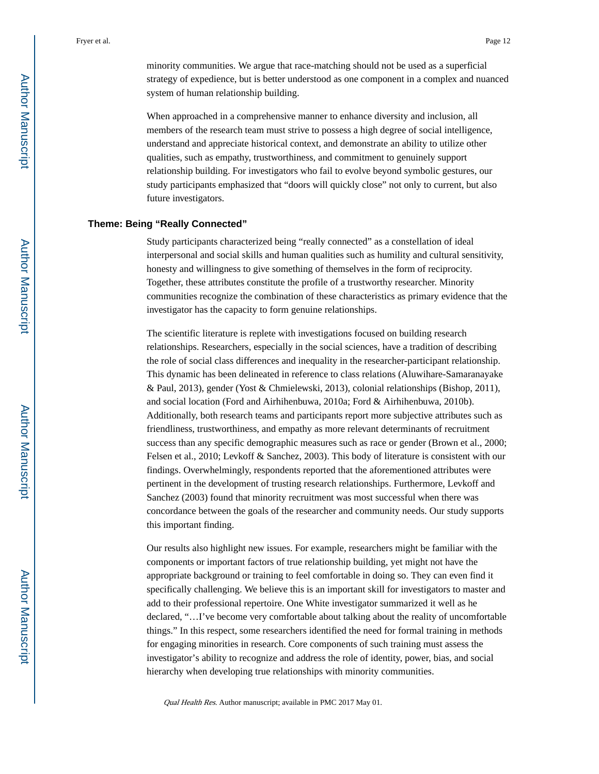minority communities. We argue that race-matching should not be used as a superficial strategy of expedience, but is better understood as one component in a complex and nuanced system of human relationship building.

When approached in a comprehensive manner to enhance diversity and inclusion, all members of the research team must strive to possess a high degree of social intelligence, understand and appreciate historical context, and demonstrate an ability to utilize other qualities, such as empathy, trustworthiness, and commitment to genuinely support relationship building. For investigators who fail to evolve beyond symbolic gestures, our study participants emphasized that "doors will quickly close" not only to current, but also future investigators.

#### **Theme: Being "Really Connected"**

Study participants characterized being "really connected" as a constellation of ideal interpersonal and social skills and human qualities such as humility and cultural sensitivity, honesty and willingness to give something of themselves in the form of reciprocity. Together, these attributes constitute the profile of a trustworthy researcher. Minority communities recognize the combination of these characteristics as primary evidence that the investigator has the capacity to form genuine relationships.

The scientific literature is replete with investigations focused on building research relationships. Researchers, especially in the social sciences, have a tradition of describing the role of social class differences and inequality in the researcher-participant relationship. This dynamic has been delineated in reference to class relations (Aluwihare-Samaranayake & Paul, 2013), gender (Yost & Chmielewski, 2013), colonial relationships (Bishop, 2011), and social location (Ford and Airhihenbuwa, 2010a; Ford & Airhihenbuwa, 2010b). Additionally, both research teams and participants report more subjective attributes such as friendliness, trustworthiness, and empathy as more relevant determinants of recruitment success than any specific demographic measures such as race or gender (Brown et al., 2000; Felsen et al., 2010; Levkoff & Sanchez, 2003). This body of literature is consistent with our findings. Overwhelmingly, respondents reported that the aforementioned attributes were pertinent in the development of trusting research relationships. Furthermore, Levkoff and Sanchez (2003) found that minority recruitment was most successful when there was concordance between the goals of the researcher and community needs. Our study supports this important finding.

Our results also highlight new issues. For example, researchers might be familiar with the components or important factors of true relationship building, yet might not have the appropriate background or training to feel comfortable in doing so. They can even find it specifically challenging. We believe this is an important skill for investigators to master and add to their professional repertoire. One White investigator summarized it well as he declared, "…I've become very comfortable about talking about the reality of uncomfortable things." In this respect, some researchers identified the need for formal training in methods for engaging minorities in research. Core components of such training must assess the investigator's ability to recognize and address the role of identity, power, bias, and social hierarchy when developing true relationships with minority communities.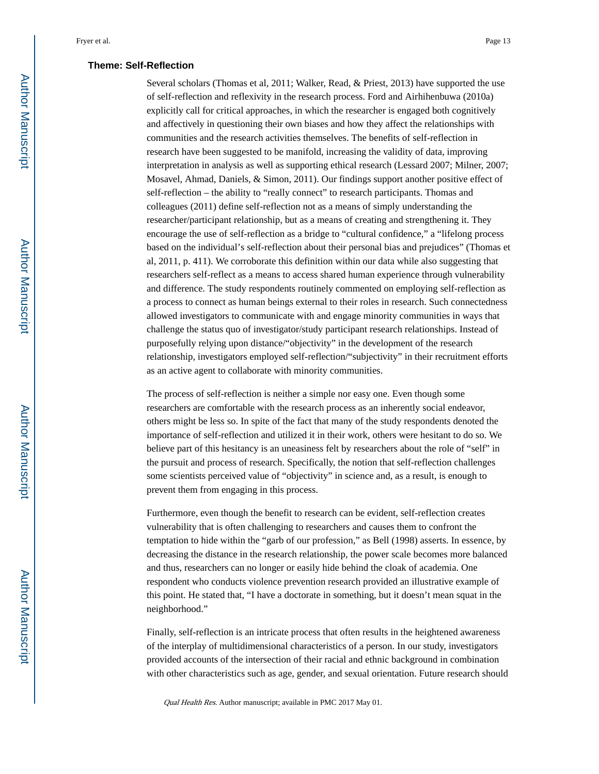#### **Theme: Self-Reflection**

Several scholars (Thomas et al, 2011; Walker, Read, & Priest, 2013) have supported the use of self-reflection and reflexivity in the research process. Ford and Airhihenbuwa (2010a) explicitly call for critical approaches, in which the researcher is engaged both cognitively and affectively in questioning their own biases and how they affect the relationships with communities and the research activities themselves. The benefits of self-reflection in research have been suggested to be manifold, increasing the validity of data, improving interpretation in analysis as well as supporting ethical research (Lessard 2007; Milner, 2007; Mosavel, Ahmad, Daniels, & Simon, 2011). Our findings support another positive effect of self-reflection – the ability to "really connect" to research participants. Thomas and colleagues (2011) define self-reflection not as a means of simply understanding the researcher/participant relationship, but as a means of creating and strengthening it. They encourage the use of self-reflection as a bridge to "cultural confidence," a "lifelong process based on the individual's self-reflection about their personal bias and prejudices" (Thomas et al, 2011, p. 411). We corroborate this definition within our data while also suggesting that researchers self-reflect as a means to access shared human experience through vulnerability and difference. The study respondents routinely commented on employing self-reflection as a process to connect as human beings external to their roles in research. Such connectedness allowed investigators to communicate with and engage minority communities in ways that challenge the status quo of investigator/study participant research relationships. Instead of purposefully relying upon distance/"objectivity" in the development of the research relationship, investigators employed self-reflection/"subjectivity" in their recruitment efforts as an active agent to collaborate with minority communities.

The process of self-reflection is neither a simple nor easy one. Even though some researchers are comfortable with the research process as an inherently social endeavor, others might be less so. In spite of the fact that many of the study respondents denoted the importance of self-reflection and utilized it in their work, others were hesitant to do so. We believe part of this hesitancy is an uneasiness felt by researchers about the role of "self" in the pursuit and process of research. Specifically, the notion that self-reflection challenges some scientists perceived value of "objectivity" in science and, as a result, is enough to prevent them from engaging in this process.

Furthermore, even though the benefit to research can be evident, self-reflection creates vulnerability that is often challenging to researchers and causes them to confront the temptation to hide within the "garb of our profession," as Bell (1998) asserts. In essence, by decreasing the distance in the research relationship, the power scale becomes more balanced and thus, researchers can no longer or easily hide behind the cloak of academia. One respondent who conducts violence prevention research provided an illustrative example of this point. He stated that, "I have a doctorate in something, but it doesn't mean squat in the neighborhood."

Finally, self-reflection is an intricate process that often results in the heightened awareness of the interplay of multidimensional characteristics of a person. In our study, investigators provided accounts of the intersection of their racial and ethnic background in combination with other characteristics such as age, gender, and sexual orientation. Future research should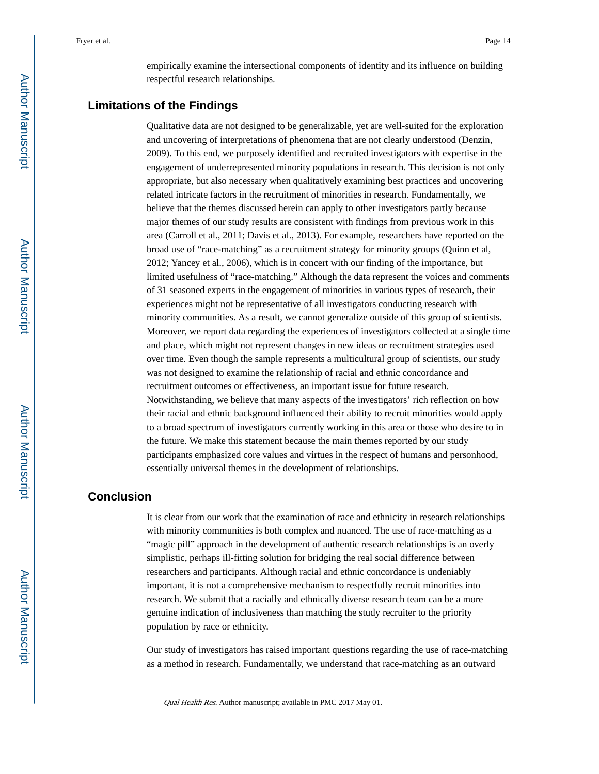empirically examine the intersectional components of identity and its influence on building respectful research relationships.

## **Limitations of the Findings**

Qualitative data are not designed to be generalizable, yet are well-suited for the exploration and uncovering of interpretations of phenomena that are not clearly understood (Denzin, 2009). To this end, we purposely identified and recruited investigators with expertise in the engagement of underrepresented minority populations in research. This decision is not only appropriate, but also necessary when qualitatively examining best practices and uncovering related intricate factors in the recruitment of minorities in research. Fundamentally, we believe that the themes discussed herein can apply to other investigators partly because major themes of our study results are consistent with findings from previous work in this area (Carroll et al., 2011; Davis et al., 2013). For example, researchers have reported on the broad use of "race-matching" as a recruitment strategy for minority groups (Quinn et al, 2012; Yancey et al., 2006), which is in concert with our finding of the importance, but limited usefulness of "race-matching." Although the data represent the voices and comments of 31 seasoned experts in the engagement of minorities in various types of research, their experiences might not be representative of all investigators conducting research with minority communities. As a result, we cannot generalize outside of this group of scientists. Moreover, we report data regarding the experiences of investigators collected at a single time and place, which might not represent changes in new ideas or recruitment strategies used over time. Even though the sample represents a multicultural group of scientists, our study was not designed to examine the relationship of racial and ethnic concordance and recruitment outcomes or effectiveness, an important issue for future research. Notwithstanding, we believe that many aspects of the investigators' rich reflection on how their racial and ethnic background influenced their ability to recruit minorities would apply to a broad spectrum of investigators currently working in this area or those who desire to in the future. We make this statement because the main themes reported by our study participants emphasized core values and virtues in the respect of humans and personhood, essentially universal themes in the development of relationships.

## **Conclusion**

It is clear from our work that the examination of race and ethnicity in research relationships with minority communities is both complex and nuanced. The use of race-matching as a "magic pill" approach in the development of authentic research relationships is an overly simplistic, perhaps ill-fitting solution for bridging the real social difference between researchers and participants. Although racial and ethnic concordance is undeniably important, it is not a comprehensive mechanism to respectfully recruit minorities into research. We submit that a racially and ethnically diverse research team can be a more genuine indication of inclusiveness than matching the study recruiter to the priority population by race or ethnicity.

Our study of investigators has raised important questions regarding the use of race-matching as a method in research. Fundamentally, we understand that race-matching as an outward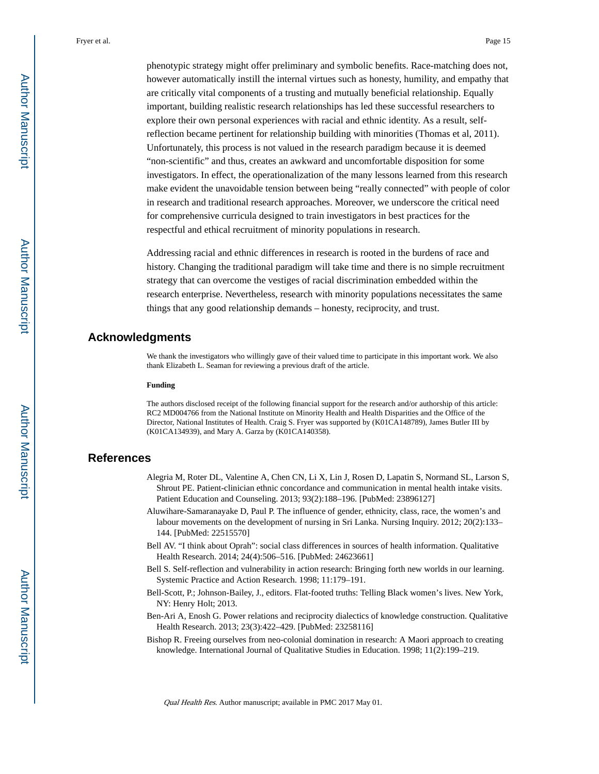phenotypic strategy might offer preliminary and symbolic benefits. Race-matching does not, however automatically instill the internal virtues such as honesty, humility, and empathy that are critically vital components of a trusting and mutually beneficial relationship. Equally important, building realistic research relationships has led these successful researchers to explore their own personal experiences with racial and ethnic identity. As a result, selfreflection became pertinent for relationship building with minorities (Thomas et al, 2011). Unfortunately, this process is not valued in the research paradigm because it is deemed "non-scientific" and thus, creates an awkward and uncomfortable disposition for some investigators. In effect, the operationalization of the many lessons learned from this research make evident the unavoidable tension between being "really connected" with people of color in research and traditional research approaches. Moreover, we underscore the critical need for comprehensive curricula designed to train investigators in best practices for the respectful and ethical recruitment of minority populations in research.

Addressing racial and ethnic differences in research is rooted in the burdens of race and history. Changing the traditional paradigm will take time and there is no simple recruitment strategy that can overcome the vestiges of racial discrimination embedded within the research enterprise. Nevertheless, research with minority populations necessitates the same things that any good relationship demands – honesty, reciprocity, and trust.

## **Acknowledgments**

We thank the investigators who willingly gave of their valued time to participate in this important work. We also thank Elizabeth L. Seaman for reviewing a previous draft of the article.

#### **Funding**

The authors disclosed receipt of the following financial support for the research and/or authorship of this article: RC2 MD004766 from the National Institute on Minority Health and Health Disparities and the Office of the Director, National Institutes of Health. Craig S. Fryer was supported by (K01CA148789), James Butler III by (K01CA134939), and Mary A. Garza by (K01CA140358).

## **References**

- Alegria M, Roter DL, Valentine A, Chen CN, Li X, Lin J, Rosen D, Lapatin S, Normand SL, Larson S, Shrout PE. Patient-clinician ethnic concordance and communication in mental health intake visits. Patient Education and Counseling. 2013; 93(2):188–196. [PubMed: 23896127]
- Aluwihare-Samaranayake D, Paul P. The influence of gender, ethnicity, class, race, the women's and labour movements on the development of nursing in Sri Lanka. Nursing Inquiry. 2012; 20(2):133– 144. [PubMed: 22515570]
- Bell AV. "I think about Oprah": social class differences in sources of health information. Qualitative Health Research. 2014; 24(4):506–516. [PubMed: 24623661]
- Bell S. Self-reflection and vulnerability in action research: Bringing forth new worlds in our learning. Systemic Practice and Action Research. 1998; 11:179–191.
- Bell-Scott, P.; Johnson-Bailey, J., editors. Flat-footed truths: Telling Black women's lives. New York, NY: Henry Holt; 2013.
- Ben-Ari A, Enosh G. Power relations and reciprocity dialectics of knowledge construction. Qualitative Health Research. 2013; 23(3):422–429. [PubMed: 23258116]
- Bishop R. Freeing ourselves from neo-colonial domination in research: A Maori approach to creating knowledge. International Journal of Qualitative Studies in Education. 1998; 11(2):199–219.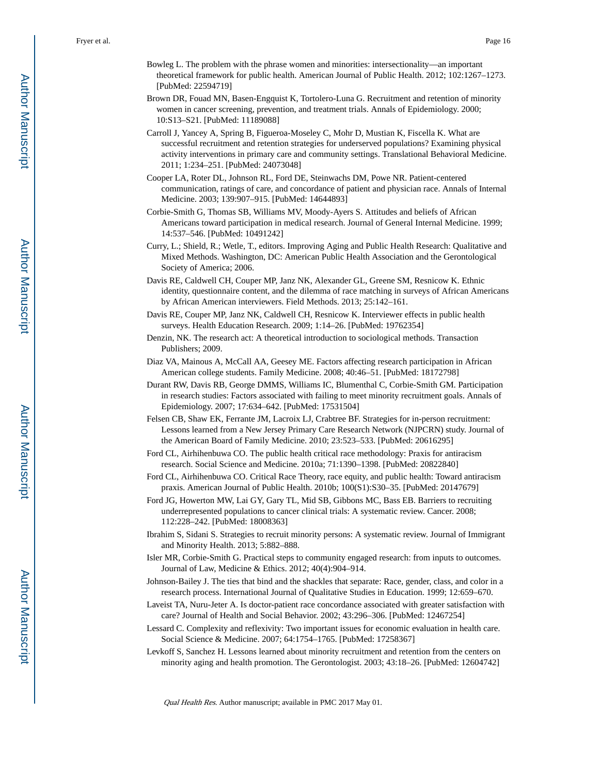- Bowleg L. The problem with the phrase women and minorities: intersectionality—an important theoretical framework for public health. American Journal of Public Health. 2012; 102:1267–1273. [PubMed: 22594719]
- Brown DR, Fouad MN, Basen-Engquist K, Tortolero-Luna G. Recruitment and retention of minority women in cancer screening, prevention, and treatment trials. Annals of Epidemiology. 2000; 10:S13–S21. [PubMed: 11189088]
- Carroll J, Yancey A, Spring B, Figueroa-Moseley C, Mohr D, Mustian K, Fiscella K. What are successful recruitment and retention strategies for underserved populations? Examining physical activity interventions in primary care and community settings. Translational Behavioral Medicine. 2011; 1:234–251. [PubMed: 24073048]
- Cooper LA, Roter DL, Johnson RL, Ford DE, Steinwachs DM, Powe NR. Patient-centered communication, ratings of care, and concordance of patient and physician race. Annals of Internal Medicine. 2003; 139:907–915. [PubMed: 14644893]
- Corbie-Smith G, Thomas SB, Williams MV, Moody-Ayers S. Attitudes and beliefs of African Americans toward participation in medical research. Journal of General Internal Medicine. 1999; 14:537–546. [PubMed: 10491242]
- Curry, L.; Shield, R.; Wetle, T., editors. Improving Aging and Public Health Research: Qualitative and Mixed Methods. Washington, DC: American Public Health Association and the Gerontological Society of America; 2006.
- Davis RE, Caldwell CH, Couper MP, Janz NK, Alexander GL, Greene SM, Resnicow K. Ethnic identity, questionnaire content, and the dilemma of race matching in surveys of African Americans by African American interviewers. Field Methods. 2013; 25:142–161.
- Davis RE, Couper MP, Janz NK, Caldwell CH, Resnicow K. Interviewer effects in public health surveys. Health Education Research. 2009; 1:14–26. [PubMed: 19762354]
- Denzin, NK. The research act: A theoretical introduction to sociological methods. Transaction Publishers; 2009.
- Diaz VA, Mainous A, McCall AA, Geesey ME. Factors affecting research participation in African American college students. Family Medicine. 2008; 40:46–51. [PubMed: 18172798]
- Durant RW, Davis RB, George DMMS, Williams IC, Blumenthal C, Corbie-Smith GM. Participation in research studies: Factors associated with failing to meet minority recruitment goals. Annals of Epidemiology. 2007; 17:634–642. [PubMed: 17531504]
- Felsen CB, Shaw EK, Ferrante JM, Lacroix LJ, Crabtree BF. Strategies for in-person recruitment: Lessons learned from a New Jersey Primary Care Research Network (NJPCRN) study. Journal of the American Board of Family Medicine. 2010; 23:523–533. [PubMed: 20616295]
- Ford CL, Airhihenbuwa CO. The public health critical race methodology: Praxis for antiracism research. Social Science and Medicine. 2010a; 71:1390–1398. [PubMed: 20822840]
- Ford CL, Airhihenbuwa CO. Critical Race Theory, race equity, and public health: Toward antiracism praxis. American Journal of Public Health. 2010b; 100(S1):S30–35. [PubMed: 20147679]
- Ford JG, Howerton MW, Lai GY, Gary TL, Mid SB, Gibbons MC, Bass EB. Barriers to recruiting underrepresented populations to cancer clinical trials: A systematic review. Cancer. 2008; 112:228–242. [PubMed: 18008363]
- Ibrahim S, Sidani S. Strategies to recruit minority persons: A systematic review. Journal of Immigrant and Minority Health. 2013; 5:882–888.
- Isler MR, Corbie-Smith G. Practical steps to community engaged research: from inputs to outcomes. Journal of Law, Medicine & Ethics. 2012; 40(4):904–914.
- Johnson-Bailey J. The ties that bind and the shackles that separate: Race, gender, class, and color in a research process. International Journal of Qualitative Studies in Education. 1999; 12:659–670.
- Laveist TA, Nuru-Jeter A. Is doctor-patient race concordance associated with greater satisfaction with care? Journal of Health and Social Behavior. 2002; 43:296–306. [PubMed: 12467254]
- Lessard C. Complexity and reflexivity: Two important issues for economic evaluation in health care. Social Science & Medicine. 2007; 64:1754–1765. [PubMed: 17258367]
- Levkoff S, Sanchez H. Lessons learned about minority recruitment and retention from the centers on minority aging and health promotion. The Gerontologist. 2003; 43:18–26. [PubMed: 12604742]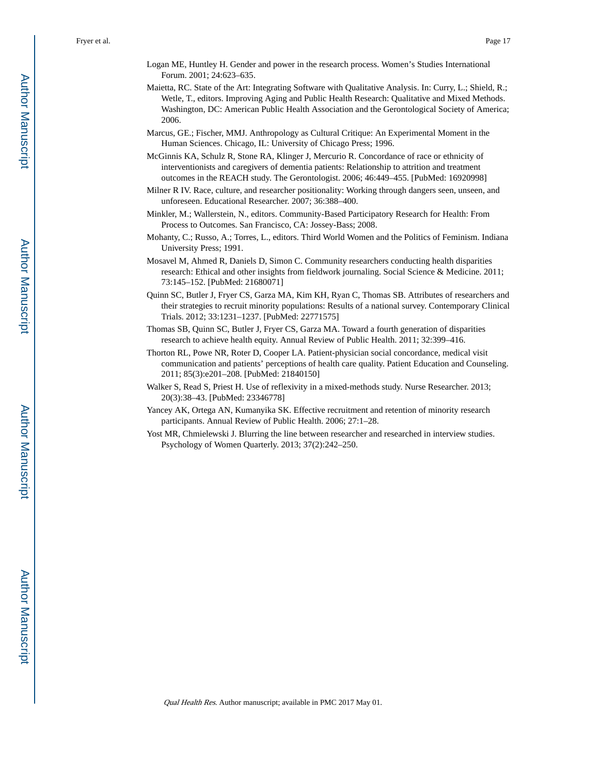- Logan ME, Huntley H. Gender and power in the research process. Women's Studies International Forum. 2001; 24:623–635.
- Maietta, RC. State of the Art: Integrating Software with Qualitative Analysis. In: Curry, L.; Shield, R.; Wetle, T., editors. Improving Aging and Public Health Research: Qualitative and Mixed Methods. Washington, DC: American Public Health Association and the Gerontological Society of America; 2006.
- Marcus, GE.; Fischer, MMJ. Anthropology as Cultural Critique: An Experimental Moment in the Human Sciences. Chicago, IL: University of Chicago Press; 1996.
- McGinnis KA, Schulz R, Stone RA, Klinger J, Mercurio R. Concordance of race or ethnicity of interventionists and caregivers of dementia patients: Relationship to attrition and treatment outcomes in the REACH study. The Gerontologist. 2006; 46:449–455. [PubMed: 16920998]
- Milner R IV. Race, culture, and researcher positionality: Working through dangers seen, unseen, and unforeseen. Educational Researcher. 2007; 36:388–400.
- Minkler, M.; Wallerstein, N., editors. Community-Based Participatory Research for Health: From Process to Outcomes. San Francisco, CA: Jossey-Bass; 2008.
- Mohanty, C.; Russo, A.; Torres, L., editors. Third World Women and the Politics of Feminism. Indiana University Press; 1991.
- Mosavel M, Ahmed R, Daniels D, Simon C. Community researchers conducting health disparities research: Ethical and other insights from fieldwork journaling. Social Science & Medicine. 2011; 73:145–152. [PubMed: 21680071]
- Quinn SC, Butler J, Fryer CS, Garza MA, Kim KH, Ryan C, Thomas SB. Attributes of researchers and their strategies to recruit minority populations: Results of a national survey. Contemporary Clinical Trials. 2012; 33:1231–1237. [PubMed: 22771575]
- Thomas SB, Quinn SC, Butler J, Fryer CS, Garza MA. Toward a fourth generation of disparities research to achieve health equity. Annual Review of Public Health. 2011; 32:399–416.
- Thorton RL, Powe NR, Roter D, Cooper LA. Patient-physician social concordance, medical visit communication and patients' perceptions of health care quality. Patient Education and Counseling. 2011; 85(3):e201–208. [PubMed: 21840150]
- Walker S, Read S, Priest H. Use of reflexivity in a mixed-methods study. Nurse Researcher. 2013; 20(3):38–43. [PubMed: 23346778]
- Yancey AK, Ortega AN, Kumanyika SK. Effective recruitment and retention of minority research participants. Annual Review of Public Health. 2006; 27:1–28.
- Yost MR, Chmielewski J. Blurring the line between researcher and researched in interview studies. Psychology of Women Quarterly. 2013; 37(2):242–250.